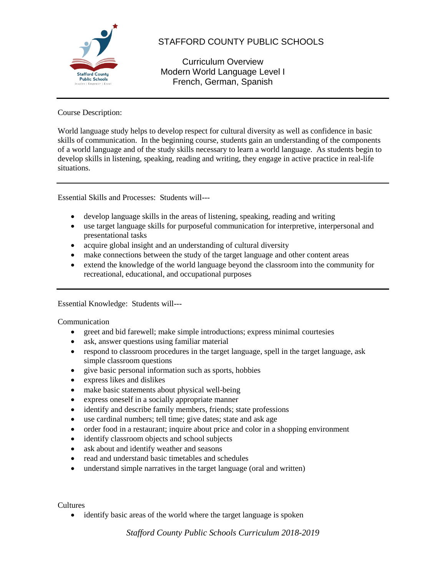

# STAFFORD COUNTY PUBLIC SCHOOLS

Curriculum Overview Modern World Language Level I French, German, Spanish

Course Description:

World language study helps to develop respect for cultural diversity as well as confidence in basic skills of communication. In the beginning course, students gain an understanding of the components of a world language and of the study skills necessary to learn a world language. As students begin to develop skills in listening, speaking, reading and writing, they engage in active practice in real-life situations.

Essential Skills and Processes: Students will---

- develop language skills in the areas of listening, speaking, reading and writing
- use target language skills for purposeful communication for interpretive, interpersonal and presentational tasks
- acquire global insight and an understanding of cultural diversity
- make connections between the study of the target language and other content areas
- extend the knowledge of the world language beyond the classroom into the community for recreational, educational, and occupational purposes

Essential Knowledge: Students will---

Communication

- greet and bid farewell; make simple introductions; express minimal courtesies
- ask, answer questions using familiar material
- respond to classroom procedures in the target language, spell in the target language, ask simple classroom questions
- give basic personal information such as sports, hobbies
- express likes and dislikes
- make basic statements about physical well-being
- express oneself in a socially appropriate manner
- identify and describe family members, friends; state professions
- use cardinal numbers; tell time; give dates; state and ask age
- order food in a restaurant; inquire about price and color in a shopping environment
- identify classroom objects and school subjects
- ask about and identify weather and seasons
- read and understand basic timetables and schedules
- understand simple narratives in the target language (oral and written)

Cultures

• identify basic areas of the world where the target language is spoken